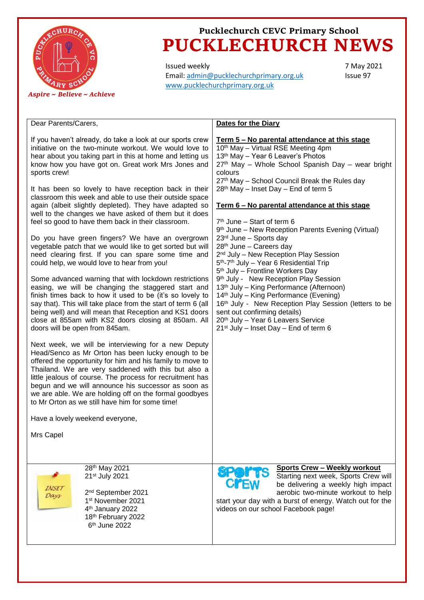

# **Pucklechurch CEVC Primary School PUCKLECHURCH NEWS**

Issued weekly Email: [admin@pucklechurchprimary.org.uk](mailto:admin@pucklechurchprimary.org.uk) [www.pucklechurchprimary.org.uk](http://www.pucklechurchprimary.org.uk/)

7 May 2021 Issue 97

#### Dear Parents/Carers,

If you haven't already, do take a look at our sports crew initiative on the two-minute workout. We would love to hear about you taking part in this at home and letting us know how you have got on. Great work Mrs Jones and sports crew!

It has been so lovely to have reception back in their classroom this week and able to use their outside space again (albeit slightly depleted). They have adapted so well to the changes we have asked of them but it does feel so good to have them back in their classroom.

Do you have green fingers? We have an overgrown vegetable patch that we would like to get sorted but will need clearing first. If you can spare some time and could help, we would love to hear from you!

Some advanced warning that with lockdown restrictions easing, we will be changing the staggered start and finish times back to how it used to be (it's so lovely to say that). This will take place from the start of term 6 (all being well) and will mean that Reception and KS1 doors close at 855am with KS2 doors closing at 850am. All doors will be open from 845am.

Next week, we will be interviewing for a new Deputy Head/Senco as Mr Orton has been lucky enough to be offered the opportunity for him and his family to move to Thailand. We are very saddened with this but also a little jealous of course. The process for recruitment has begun and we will announce his successor as soon as we are able. We are holding off on the formal goodbyes to Mr Orton as we still have him for some time!

Have a lovely weekend everyone,

Mrs Capel

**INSET** Days

28th May 2021 21st July 2021

2 nd September 2021 1 st November 2021 4<sup>th</sup> January 2022 18th February 2022  $\sim$  6  $6<sup>th</sup>$  June 2022

### **Dates for the Diary**

**Term 5 – No parental attendance at this stage** 10<sup>th</sup> May - Virtual RSE Meeting 4pm 13th May – Year 6 Leaver's Photos 27<sup>th</sup> May – Whole School Spanish Day – wear bright colours 27<sup>th</sup> May - School Council Break the Rules day 28th May – Inset Day – End of term 5

#### **Term 6 – No parental attendance at this stage**

7 th June – Start of term 6 9 th June – New Reception Parents Evening (Virtual) 23rd June – Sports day 28th June – Careers day 2<sup>nd</sup> July – New Reception Play Session 5<sup>th</sup>-7<sup>th</sup> July – Year 6 Residential Trip 5<sup>th</sup> July – Frontline Workers Day 9<sup>th</sup> July - New Reception Play Session 13th July – King Performance (Afternoon) 14th July – King Performance (Evening) 16<sup>th</sup> July - New Reception Play Session (letters to be sent out confirming details) 20th July – Year 6 Leavers Service  $21<sup>st</sup>$  July – Inset Day – End of term 6 **Sports Crew – Weekly workout** Starting next week, Sports Crew will be delivering a weekly high impact

aerobic two-minute workout to help start your day with a burst of energy. Watch out for the videos on our school Facebook page!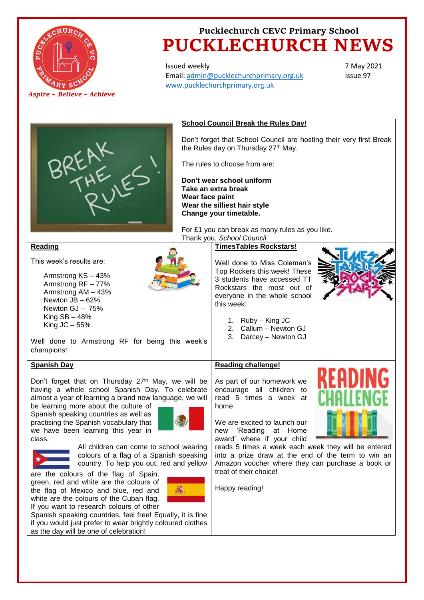

# **Pucklechurch CEVC Primary School PUCKLECHURCH NEWS**

Issued weekly Email: [admin@pucklechurchprimary.org.uk](mailto:admin@pucklechurchprimary.org.uk) [www.pucklechurchprimary.org.uk](http://www.pucklechurchprimary.org.uk/)

7 May 2021 Issue 97



#### **School Council Break the Rules Day!**

Don't forget that School Council are hosting their very first Break the Rules day on Thursday 27<sup>th</sup> May.

The rules to choose from are:

**Don't wear school uniform Take an extra break Wear face paint Wear the silliest hair style Change your timetable.**

**Reading** 

champions!

**Spanish Day**

This week's results are:

Armstrong KS – 43% Armstrong RF – 77% Armstrong AM – 43% Newton JB – 62% Newton GJ – 75% King  $SB - 48%$ King  $JC - 55%$ 



For £1 you can break as many rules as you like. Thank you, *School Council*

#### **TimesTables Rockstars!**

Well done to Miss Coleman's Top Rockers this week! These 3 students have accessed TT Rockstars the most out of everyone in the whole school this week:



1. Ruby – King JC

- 2. Callum Newton GJ
- 3. Darcey Newton GJ

#### **Reading challenge!**

Don't forget that on Thursday  $27<sup>th</sup>$  May, we will be having a whole school Spanish Day. To celebrate almost a year of learning a brand new language, we will As part of our homework we encourage all children to read 5 times a week at home.

> We are excited to launch our new 'Reading at Home award' where if your child

reads 5 times a week each week they will be entered into a prize draw at the end of the term to win an Amazon voucher where they can purchase a book or treat of their choice!

Happy reading!



class.

All children can come to school wearing colours of a flag of a Spanish speaking country. To help you out, red and yellow

are the colours of the flag of Spain, green, red and white are the colours of the flag of Mexico and blue, red and white are the colours of the Cuban flag. If you want to research colours of other

be learning more about the culture of Spanish speaking countries as well as practising the Spanish vocabulary that we have been learning this year in



Spanish speaking countries, feel free! Equally, it is fine if you would just prefer to wear brightly coloured clothes as the day will be one of celebration!

Well done to Armstrong RF for being this week's